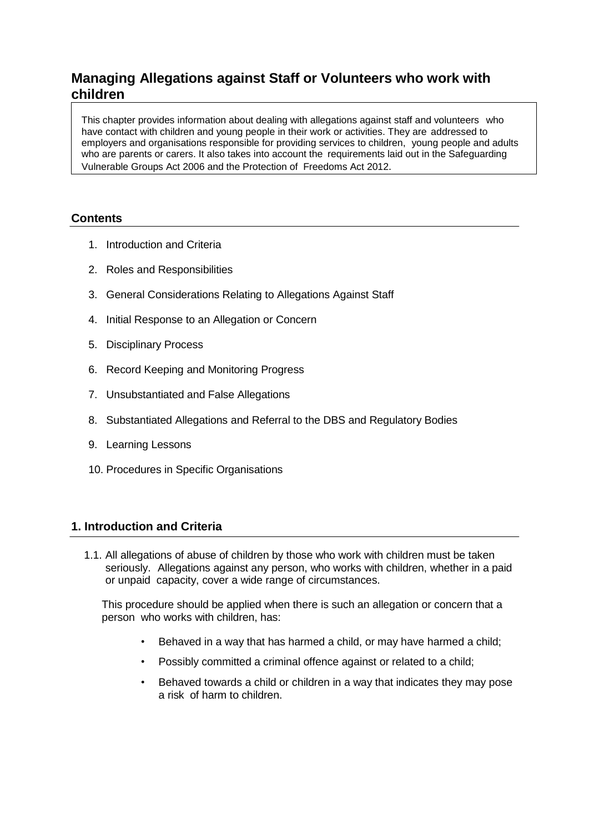# **Managing Allegations against Staff or Volunteers who work with children**

This chapter provides information about dealing with allegations against staff and volunteers who have contact with children and young people in their work or activities. They are addressed to employers and organisations responsible for providing services to children, young people and adults who are parents or carers. It also takes into account the requirements laid out in the Safeguarding Vulnerable Groups Act 2006 and the Protection of Freedoms Act 2012.

## **Contents**

- 1. Introduction and Criteria
- 2. Roles and Responsibilities
- 3. General Considerations Relating to Allegations Against Staff
- 4. Initial Response to an Allegation or Concern
- 5. Disciplinary Process
- 6. Record Keeping and Monitoring Progress
- 7. Unsubstantiated and False Allegations
- 8. Substantiated Allegations and Referral to the DBS and Regulatory Bodies
- 9. Learning Lessons
- 10. Procedures in Specific Organisations

# **1. Introduction and Criteria**

1.1. All allegations of abuse of children by those who work with children must be taken seriously. Allegations against any person, who works with children, whether in a paid or unpaid capacity, cover a wide range of circumstances.

This procedure should be applied when there is such an allegation or concern that a person who works with children, has:

- Behaved in a way that has harmed a child, or may have harmed a child;
- Possibly committed a criminal offence against or related to a child;
- Behaved towards a child or children in a way that indicates they may pose a risk of harm to children.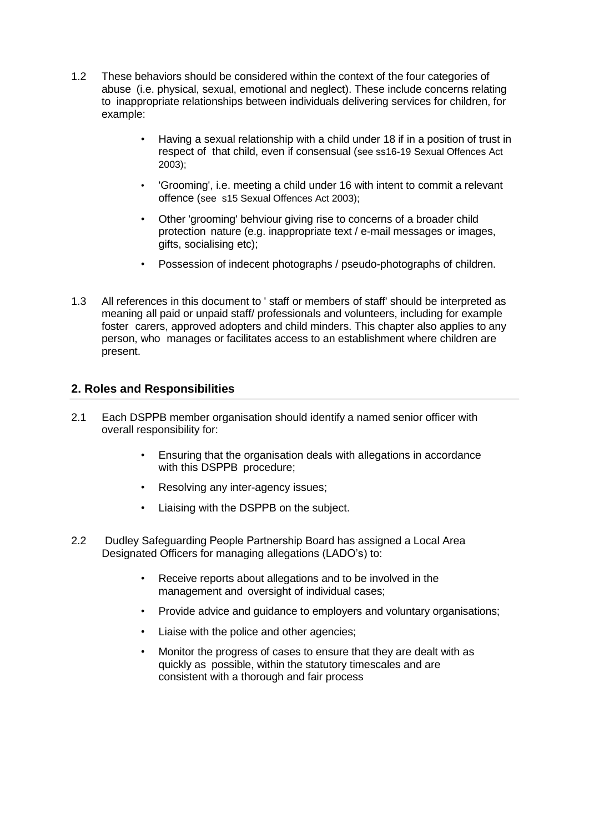- 1.2 These behaviors should be considered within the context of the four categories of abuse (i.e. physical, sexual, emotional and neglect). These include concerns relating to inappropriate relationships between individuals delivering services for children, for example:
	- Having a sexual relationship with a child under 18 if in a position of trust in respect of that child, even if consensual (see ss16-19 Sexual Offences Act 2003);
	- 'Grooming', i.e. meeting a child under 16 with intent to commit a relevant offence (see s15 Sexual Offences Act 2003);
	- Other 'grooming' behviour giving rise to concerns of a broader child protection nature (e.g. inappropriate text / e-mail messages or images, gifts, socialising etc);
	- Possession of indecent photographs / pseudo-photographs of children.
- 1.3 All references in this document to ' staff or members of staff' should be interpreted as meaning all paid or unpaid staff/ professionals and volunteers, including for example foster carers, approved adopters and child minders. This chapter also applies to any person, who manages or facilitates access to an establishment where children are present.

## **2. Roles and Responsibilities**

- 2.1 Each DSPPB member organisation should identify a named senior officer with overall responsibility for:
	- Ensuring that the organisation deals with allegations in accordance with this DSPPB procedure;
	- Resolving any inter-agency issues;
	- Liaising with the DSPPB on the subject.
- 2.2 Dudley Safeguarding People Partnership Board has assigned a Local Area Designated Officers for managing allegations (LADO's) to:
	- Receive reports about allegations and to be involved in the management and oversight of individual cases;
	- Provide advice and guidance to employers and voluntary organisations;
	- Liaise with the police and other agencies;
	- Monitor the progress of cases to ensure that they are dealt with as quickly as possible, within the statutory timescales and are consistent with a thorough and fair process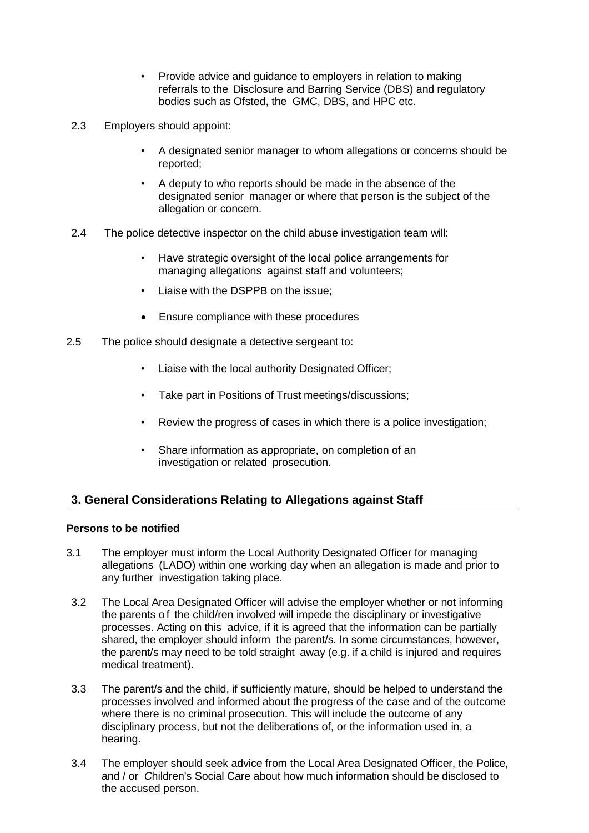- Provide advice and guidance to employers in relation to making referrals to the Disclosure and Barring Service (DBS) and regulatory bodies such as Ofsted, the GMC, DBS, and HPC etc.
- 2.3 Employers should appoint:
	- A designated senior manager to whom allegations or concerns should be reported;
	- A deputy to who reports should be made in the absence of the designated senior manager or where that person is the subject of the allegation or concern.
- 2.4 The police detective inspector on the child abuse investigation team will:
	- Have strategic oversight of the local police arrangements for managing allegations against staff and volunteers;
	- Liaise with the DSPPB on the issue;
	- Ensure compliance with these procedures
- 2.5 The police should designate a detective sergeant to:
	- Liaise with the local authority Designated Officer;
	- Take part in Positions of Trust meetings/discussions;
	- Review the progress of cases in which there is a police investigation;
	- Share information as appropriate, on completion of an investigation or related prosecution.

# **3. General Considerations Relating to Allegations against Staff**

## **Persons to be notified**

- 3.1 The employer must inform the Local Authority Designated Officer for managing allegations (LADO) within one working day when an allegation is made and prior to any further investigation taking place.
- 3.2 The Local Area Designated Officer will advise the employer whether or not informing the parents of the child/ren involved will impede the disciplinary or investigative processes. Acting on this advice, if it is agreed that the information can be partially shared, the employer should inform the parent/s. In some circumstances, however, the parent/s may need to be told straight away (e.g. if a child is injured and requires medical treatment).
- 3.3 The parent/s and the child, if sufficiently mature, should be helped to understand the processes involved and informed about the progress of the case and of the outcome where there is no criminal prosecution. This will include the outcome of any disciplinary process, but not the deliberations of, or the information used in, a hearing.
- 3.4 The employer should seek advice from the Local Area Designated Officer, the Police, and / or *C*hildren's Social Care about how much information should be disclosed to the accused person.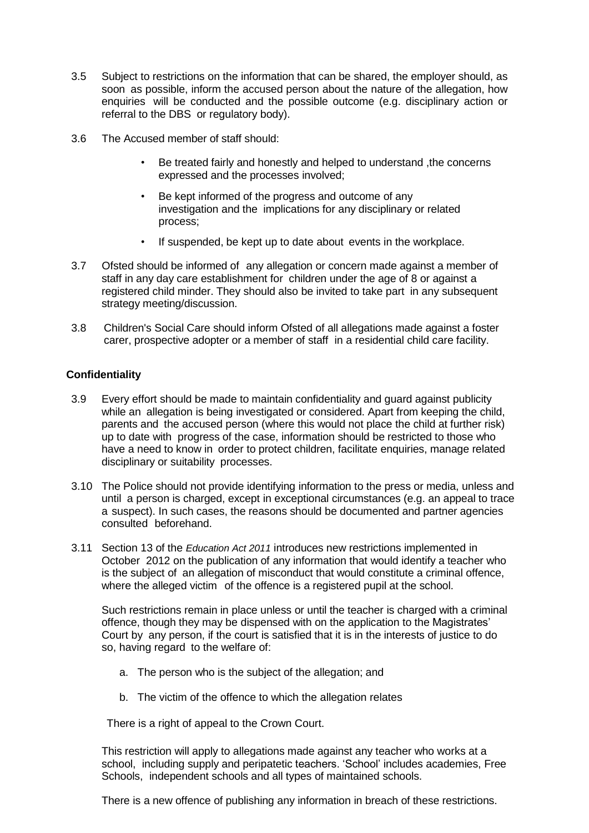- 3.5 Subject to restrictions on the information that can be shared, the employer should, as soon as possible, inform the accused person about the nature of the allegation, how enquiries will be conducted and the possible outcome (e.g. disciplinary action or referral to the DBS or regulatory body).
- 3.6 The Accused member of staff should:
	- Be treated fairly and honestly and helped to understand ,the concerns expressed and the processes involved;
	- Be kept informed of the progress and outcome of any investigation and the implications for any disciplinary or related process;
	- If suspended, be kept up to date about events in the workplace.
- 3.7 Ofsted should be informed of any allegation or concern made against a member of staff in any day care establishment for children under the age of 8 or against a registered child minder. They should also be invited to take part in any subsequent strategy meeting/discussion.
- 3.8 Children's Social Care should inform Ofsted of all allegations made against a foster carer, prospective adopter or a member of staff in a residential child care facility.

## **Confidentiality**

- 3.9 Every effort should be made to maintain confidentiality and guard against publicity while an allegation is being investigated or considered. Apart from keeping the child, parents and the accused person (where this would not place the child at further risk) up to date with progress of the case, information should be restricted to those who have a need to know in order to protect children, facilitate enquiries, manage related disciplinary or suitability processes.
- 3.10 The Police should not provide identifying information to the press or media, unless and until a person is charged, except in exceptional circumstances (e.g. an appeal to trace a suspect). In such cases, the reasons should be documented and partner agencies consulted beforehand.
- 3.11 Section 13 of the *Education Act 2011* introduces new restrictions implemented in October 2012 on the publication of any information that would identify a teacher who is the subject of an allegation of misconduct that would constitute a criminal offence, where the alleged victim of the offence is a registered pupil at the school.

Such restrictions remain in place unless or until the teacher is charged with a criminal offence, though they may be dispensed with on the application to the Magistrates' Court by any person, if the court is satisfied that it is in the interests of justice to do so, having regard to the welfare of:

- a. The person who is the subject of the allegation; and
- b. The victim of the offence to which the allegation relates

There is a right of appeal to the Crown Court.

This restriction will apply to allegations made against any teacher who works at a school, including supply and peripatetic teachers. 'School' includes academies, Free Schools, independent schools and all types of maintained schools.

There is a new offence of publishing any information in breach of these restrictions.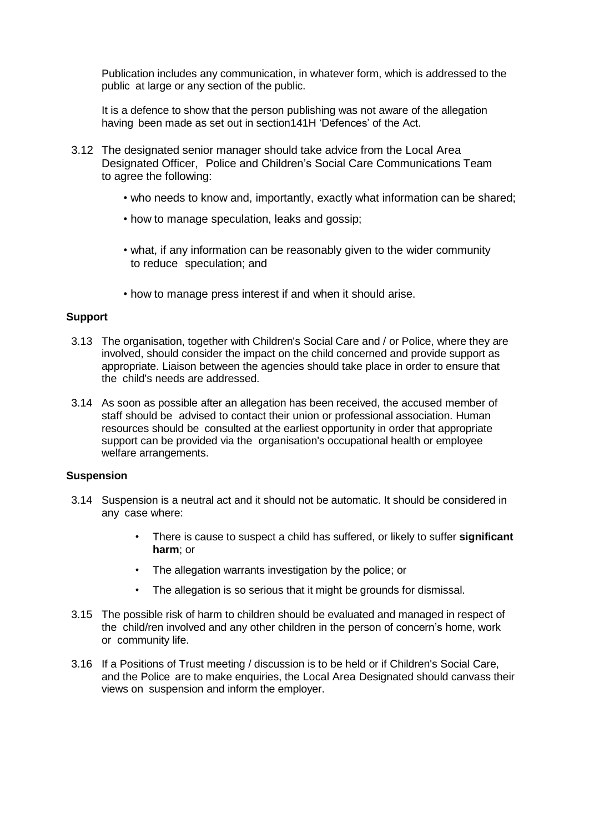Publication includes any communication, in whatever form, which is addressed to the public at large or any section of the public.

It is a defence to show that the person publishing was not aware of the allegation having been made as set out in section141H 'Defences' of the Act.

- 3.12 The designated senior manager should take advice from the Local Area Designated Officer, Police and Children's Social Care Communications Team to agree the following:
	- who needs to know and, importantly, exactly what information can be shared;
	- how to manage speculation, leaks and gossip;
	- what, if any information can be reasonably given to the wider community to reduce speculation; and
	- how to manage press interest if and when it should arise.

#### **Support**

- 3.13 The organisation, together with Children's Social Care and / or Police, where they are involved, should consider the impact on the child concerned and provide support as appropriate. Liaison between the agencies should take place in order to ensure that the child's needs are addressed.
- 3.14 As soon as possible after an allegation has been received, the accused member of staff should be advised to contact their union or professional association. Human resources should be consulted at the earliest opportunity in order that appropriate support can be provided via the organisation's occupational health or employee welfare arrangements.

#### **Suspension**

- 3.14 Suspension is a neutral act and it should not be automatic. It should be considered in any case where:
	- There is cause to suspect a child has suffered, or likely to suffer **significant harm**; or
	- The allegation warrants investigation by the police; or
	- The allegation is so serious that it might be grounds for dismissal.
- 3.15 The possible risk of harm to children should be evaluated and managed in respect of the child/ren involved and any other children in the person of concern's home, work or community life.
- 3.16 If a Positions of Trust meeting / discussion is to be held or if Children's Social Care, and the Police are to make enquiries, the Local Area Designated should canvass their views on suspension and inform the employer.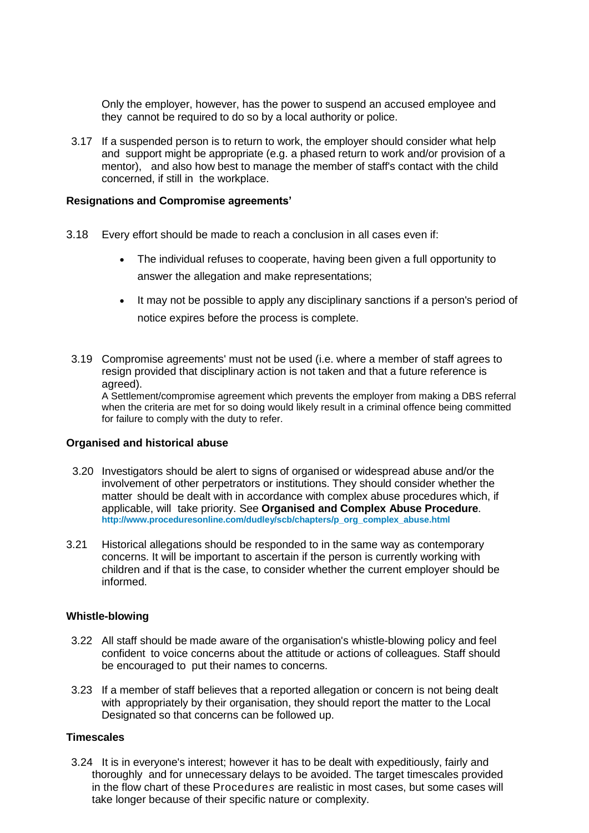Only the employer, however, has the power to suspend an accused employee and they cannot be required to do so by a local authority or police.

3.17 If a suspended person is to return to work, the employer should consider what help and support might be appropriate (e.g. a phased return to work and/or provision of a mentor), and also how best to manage the member of staff's contact with the child concerned, if still in the workplace.

#### **Resignations and Compromise agreements'**

- 3.18 Every effort should be made to reach a conclusion in all cases even if:
	- The individual refuses to cooperate, having been given a full opportunity to answer the allegation and make representations;
	- It may not be possible to apply any disciplinary sanctions if a person's period of notice expires before the process is complete.
- 3.19 Compromise agreements' must not be used (i.e. where a member of staff agrees to resign provided that disciplinary action is not taken and that a future reference is agreed).

A Settlement/compromise agreement which prevents the employer from making a DBS referral when the criteria are met for so doing would likely result in a criminal offence being committed for failure to comply with the duty to refer.

#### **Organised and historical abuse**

- 3.20 Investigators should be alert to signs of organised or widespread abuse and/or the involvement of other perpetrators or institutions. They should consider whether the matter should be dealt with in accordance with complex abuse procedures which, if applicable, will take priority. See **Organised and Complex Abuse Procedure**. **[http://www.proceduresonline.com/dudley/scb/chapters/p\\_org\\_complex\\_abuse.html](http://www.proceduresonline.com/dudley/scb/chapters/p_org_complex_abuse.html)**
- 3.21 Historical allegations should be responded to in the same way as contemporary concerns. It will be important to ascertain if the person is currently working with children and if that is the case, to consider whether the current employer should be informed.

#### **Whistle-blowing**

- 3.22 All staff should be made aware of the organisation's whistle-blowing policy and feel confident to voice concerns about the attitude or actions of colleagues. Staff should be encouraged to put their names to concerns.
- 3.23 If a member of staff believes that a reported allegation or concern is not being dealt with appropriately by their organisation, they should report the matter to the Local Designated so that concerns can be followed up.

#### **Timescales**

3.24 It is in everyone's interest; however it has to be dealt with expeditiously, fairly and thoroughly and for unnecessary delays to be avoided. The target timescales provided in the flow chart of these Procedure*s* are realistic in most cases, but some cases will take longer because of their specific nature or complexity.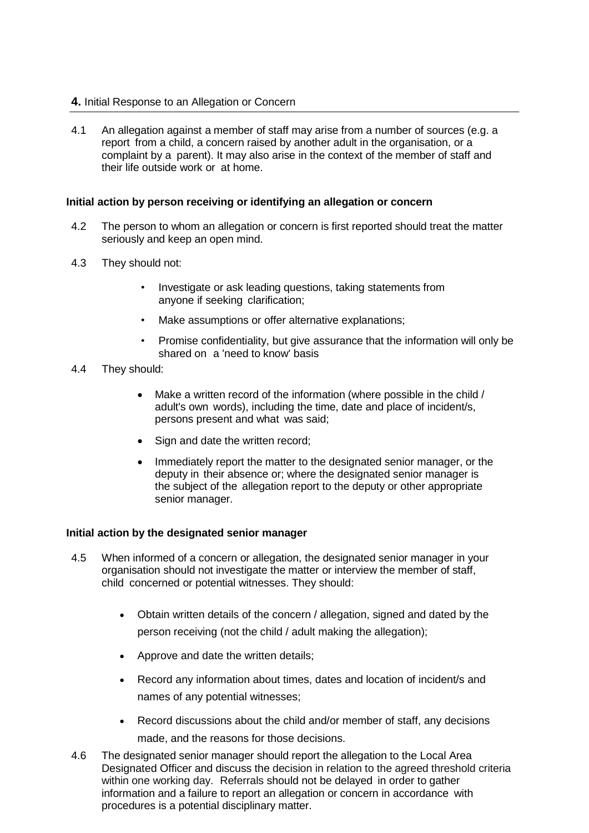## **4.** Initial Response to an Allegation or Concern

4.1 An allegation against a member of staff may arise from a number of sources (e.g. a report from a child, a concern raised by another adult in the organisation, or a complaint by a parent). It may also arise in the context of the member of staff and their life outside work or at home.

#### **Initial action by person receiving or identifying an allegation or concern**

- 4.2 The person to whom an allegation or concern is first reported should treat the matter seriously and keep an open mind.
- 4.3 They should not:
	- Investigate or ask leading questions, taking statements from anyone if seeking clarification;
	- Make assumptions or offer alternative explanations;
	- Promise confidentiality, but give assurance that the information will only be shared on a 'need to know' basis
- 4.4 They should:
	- Make a written record of the information (where possible in the child / adult's own words), including the time, date and place of incident/s, persons present and what was said;
	- Sign and date the written record;
	- Immediately report the matter to the designated senior manager, or the deputy in their absence or; where the designated senior manager is the subject of the allegation report to the deputy or other appropriate senior manager.

#### **Initial action by the designated senior manager**

- 4.5 When informed of a concern or allegation, the designated senior manager in your organisation should not investigate the matter or interview the member of staff, child concerned or potential witnesses. They should:
	- Obtain written details of the concern / allegation, signed and dated by the person receiving (not the child / adult making the allegation);
	- Approve and date the written details;
	- Record any information about times, dates and location of incident/s and names of any potential witnesses;
	- Record discussions about the child and/or member of staff, any decisions made, and the reasons for those decisions.
- 4.6 The designated senior manager should report the allegation to the Local Area Designated Officer and discuss the decision in relation to the agreed threshold criteria within one working day. Referrals should not be delayed in order to gather information and a failure to report an allegation or concern in accordance with procedures is a potential disciplinary matter.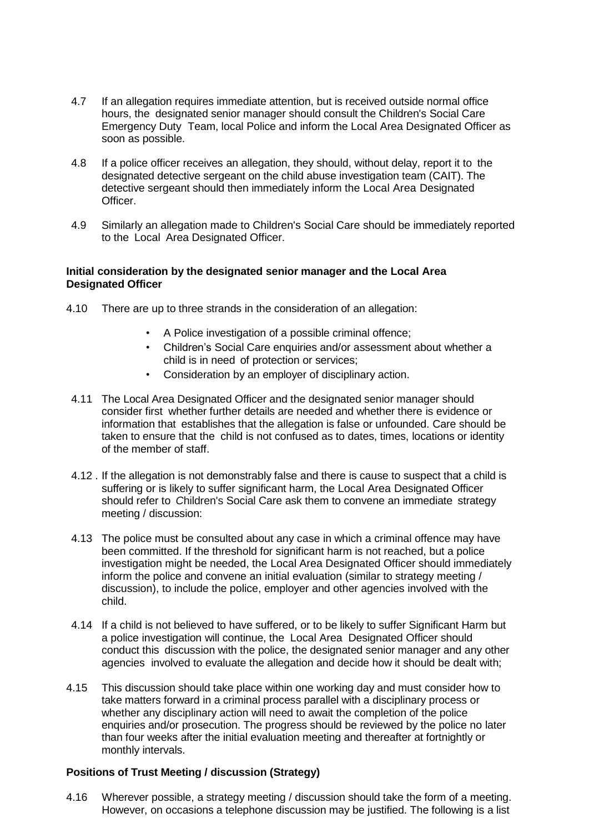- 4.7 If an allegation requires immediate attention, but is received outside normal office hours, the designated senior manager should consult the Children's Social Care Emergency Duty Team, local Police and inform the Local Area Designated Officer as soon as possible.
- 4.8 If a police officer receives an allegation, they should, without delay, report it to the designated detective sergeant on the child abuse investigation team (CAIT). The detective sergeant should then immediately inform the Local Area Designated Officer.
- 4.9 Similarly an allegation made to Children's Social Care should be immediately reported to the Local Area Designated Officer.

### **Initial consideration by the designated senior manager and the Local Area Designated Officer**

- 4.10 There are up to three strands in the consideration of an allegation:
	- A Police investigation of a possible criminal offence;
	- Children's Social Care enquiries and/or assessment about whether a child is in need of protection or services;
	- Consideration by an employer of disciplinary action.
- 4.11 The Local Area Designated Officer and the designated senior manager should consider first whether further details are needed and whether there is evidence or information that establishes that the allegation is false or unfounded. Care should be taken to ensure that the child is not confused as to dates, times, locations or identity of the member of staff.
- 4.12 . If the allegation is not demonstrably false and there is cause to suspect that a child is suffering or is likely to suffer significant harm, the Local Area Designated Officer should refer to *C*hildren's Social Care ask them to convene an immediate strategy meeting / discussion:
- 4.13 The police must be consulted about any case in which a criminal offence may have been committed. If the threshold for significant harm is not reached, but a police investigation might be needed, the Local Area Designated Officer should immediately inform the police and convene an initial evaluation (similar to strategy meeting / discussion), to include the police, employer and other agencies involved with the child.
- 4.14 If a child is not believed to have suffered, or to be likely to suffer Significant Harm but a police investigation will continue, the Local Area Designated Officer should conduct this discussion with the police, the designated senior manager and any other agencies involved to evaluate the allegation and decide how it should be dealt with;
- 4.15 This discussion should take place within one working day and must consider how to take matters forward in a criminal process parallel with a disciplinary process or whether any disciplinary action will need to await the completion of the police enquiries and/or prosecution. The progress should be reviewed by the police no later than four weeks after the initial evaluation meeting and thereafter at fortnightly or monthly intervals.

## **Positions of Trust Meeting / discussion (Strategy)**

4.16 Wherever possible, a strategy meeting / discussion should take the form of a meeting. However, on occasions a telephone discussion may be justified. The following is a list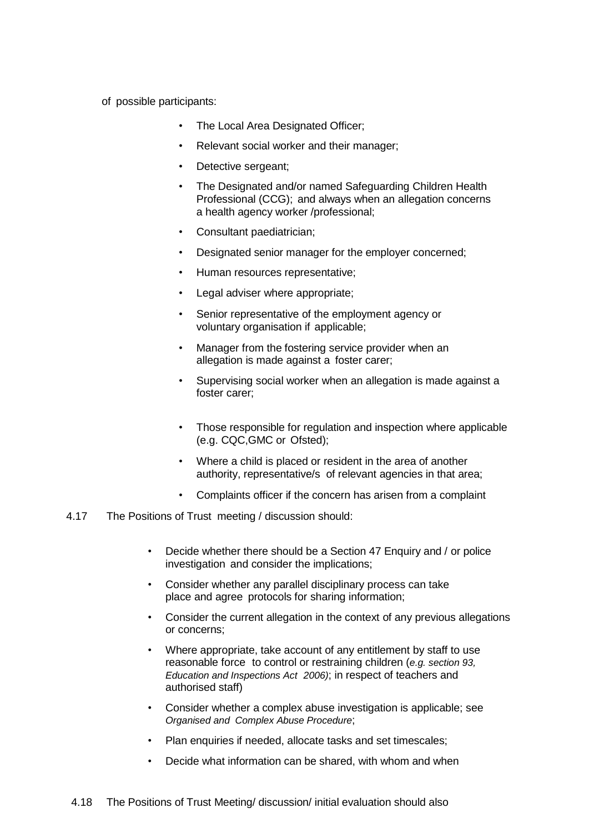- of possible participants:
	- The Local Area Designated Officer;
	- Relevant social worker and their manager;
	- Detective sergeant;
	- The Designated and/or named Safeguarding Children Health Professional (CCG); and always when an allegation concerns a health agency worker /professional;
	- Consultant paediatrician;
	- Designated senior manager for the employer concerned;
	- Human resources representative;
	- Legal adviser where appropriate;
	- Senior representative of the employment agency or voluntary organisation if applicable;
	- Manager from the fostering service provider when an allegation is made against a foster carer;
	- Supervising social worker when an allegation is made against a foster carer;
	- Those responsible for regulation and inspection where applicable (e.g. CQC,GMC or Ofsted);
	- Where a child is placed or resident in the area of another authority, representative/s of relevant agencies in that area;
	- Complaints officer if the concern has arisen from a complaint

#### 4.17 The Positions of Trust meeting / discussion should:

- Decide whether there should be a Section 47 Enquiry and / or police investigation and consider the implications;
- Consider whether any parallel disciplinary process can take place and agree protocols for sharing information;
- Consider the current allegation in the context of any previous allegations or concerns;
- Where appropriate, take account of any entitlement by staff to use reasonable force to control or restraining children (*e.g. section 93, Education and Inspections Act 2006)*; in respect of teachers and authorised staff)
- Consider whether a complex abuse investigation is applicable; see *Organised and Complex Abuse Procedure*;
- Plan enquiries if needed, allocate tasks and set timescales;
- Decide what information can be shared, with whom and when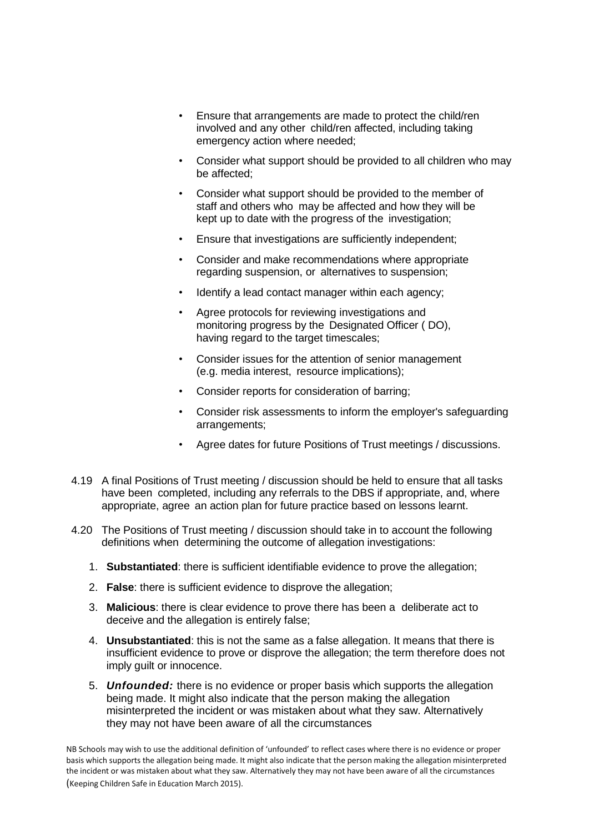- Ensure that arrangements are made to protect the child/ren involved and any other child/ren affected, including taking emergency action where needed;
- Consider what support should be provided to all children who may be affected;
- Consider what support should be provided to the member of staff and others who may be affected and how they will be kept up to date with the progress of the investigation;
- Ensure that investigations are sufficiently independent;
- Consider and make recommendations where appropriate regarding suspension, or alternatives to suspension;
- Identify a lead contact manager within each agency;
- Agree protocols for reviewing investigations and monitoring progress by the Designated Officer ( DO), having regard to the target timescales;
- Consider issues for the attention of senior management (e.g. media interest, resource implications);
- Consider reports for consideration of barring;
- Consider risk assessments to inform the employer's safeguarding arrangements;
- Agree dates for future Positions of Trust meetings / discussions.
- 4.19 A final Positions of Trust meeting / discussion should be held to ensure that all tasks have been completed, including any referrals to the DBS if appropriate, and, where appropriate, agree an action plan for future practice based on lessons learnt.
- 4.20 The Positions of Trust meeting / discussion should take in to account the following definitions when determining the outcome of allegation investigations:
	- 1. **Substantiated**: there is sufficient identifiable evidence to prove the allegation;
	- 2. **False**: there is sufficient evidence to disprove the allegation;
	- 3. **Malicious**: there is clear evidence to prove there has been a deliberate act to deceive and the allegation is entirely false;
	- 4. **Unsubstantiated**: this is not the same as a false allegation. It means that there is insufficient evidence to prove or disprove the allegation; the term therefore does not imply guilt or innocence.
	- 5. *Unfounded:* there is no evidence or proper basis which supports the allegation being made. It might also indicate that the person making the allegation misinterpreted the incident or was mistaken about what they saw. Alternatively they may not have been aware of all the circumstances

NB Schools may wish to use the additional definition of 'unfounded' to reflect cases where there is no evidence or proper basis which supports the allegation being made. It might also indicate that the person making the allegation misinterpreted the incident or was mistaken about what they saw. Alternatively they may not have been aware of all the circumstances (Keeping Children Safe in Education March 2015).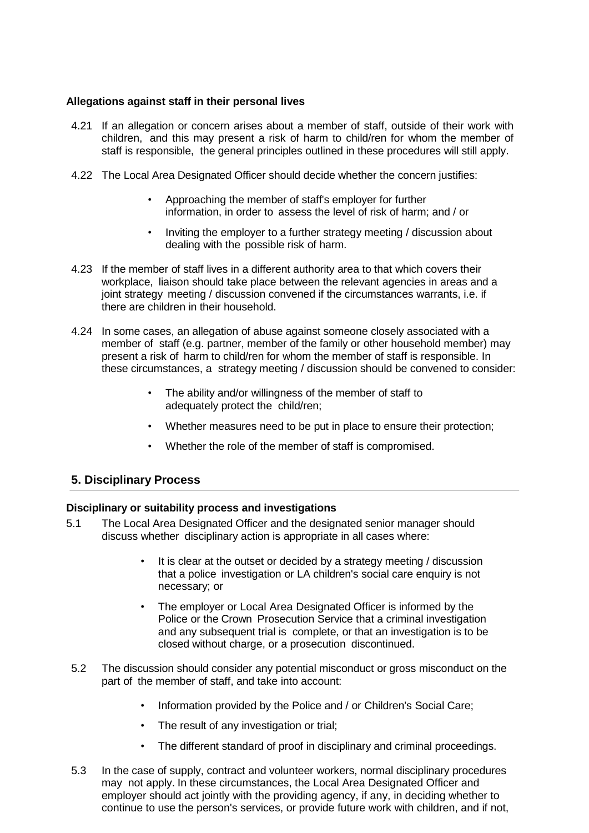## **Allegations against staff in their personal lives**

- 4.21 If an allegation or concern arises about a member of staff, outside of their work with children, and this may present a risk of harm to child/ren for whom the member of staff is responsible, the general principles outlined in these procedures will still apply.
- 4.22 The Local Area Designated Officer should decide whether the concern justifies:
	- Approaching the member of staff's employer for further information, in order to assess the level of risk of harm; and / or
	- Inviting the employer to a further strategy meeting / discussion about dealing with the possible risk of harm.
- 4.23 If the member of staff lives in a different authority area to that which covers their workplace, liaison should take place between the relevant agencies in areas and a joint strategy meeting / discussion convened if the circumstances warrants, i.e. if there are children in their household.
- 4.24 In some cases, an allegation of abuse against someone closely associated with a member of staff (e.g. partner, member of the family or other household member) may present a risk of harm to child/ren for whom the member of staff is responsible. In these circumstances, a strategy meeting / discussion should be convened to consider:
	- The ability and/or willingness of the member of staff to adequately protect the child/ren;
	- Whether measures need to be put in place to ensure their protection;
	- Whether the role of the member of staff is compromised.

## **5. Disciplinary Process**

## **Disciplinary or suitability process and investigations**

- 5.1 The Local Area Designated Officer and the designated senior manager should discuss whether disciplinary action is appropriate in all cases where:
	- It is clear at the outset or decided by a strategy meeting / discussion that a police investigation or LA children's social care enquiry is not necessary; or
	- The employer or Local Area Designated Officer is informed by the Police or the Crown Prosecution Service that a criminal investigation and any subsequent trial is complete, or that an investigation is to be closed without charge, or a prosecution discontinued.
- 5.2 The discussion should consider any potential misconduct or gross misconduct on the part of the member of staff, and take into account:
	- Information provided by the Police and / or Children's Social Care;
	- The result of any investigation or trial;
	- The different standard of proof in disciplinary and criminal proceedings.
- 5.3 In the case of supply, contract and volunteer workers, normal disciplinary procedures may not apply. In these circumstances, the Local Area Designated Officer and employer should act jointly with the providing agency, if any, in deciding whether to continue to use the person's services, or provide future work with children, and if not,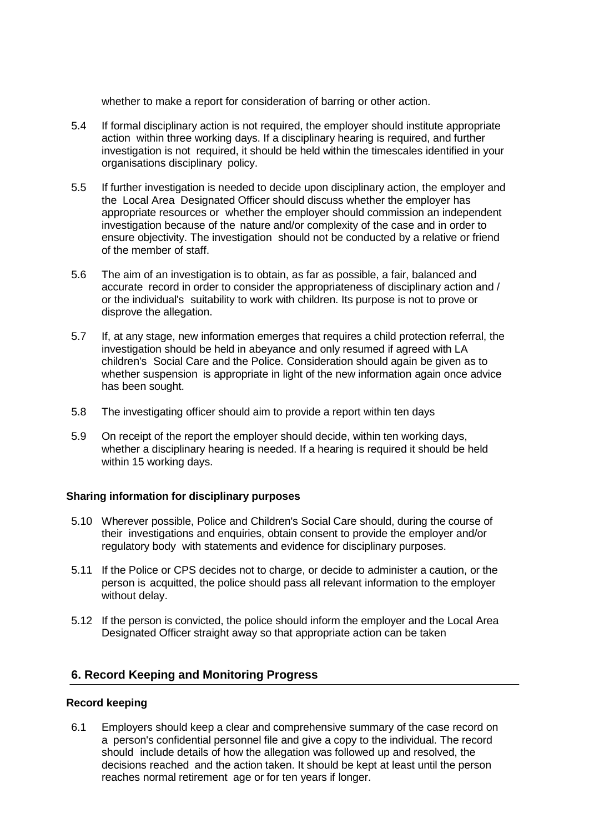whether to make a report for consideration of barring or other action.

- 5.4 If formal disciplinary action is not required, the employer should institute appropriate action within three working days. If a disciplinary hearing is required, and further investigation is not required, it should be held within the timescales identified in your organisations disciplinary policy.
- 5.5 If further investigation is needed to decide upon disciplinary action, the employer and the Local Area Designated Officer should discuss whether the employer has appropriate resources or whether the employer should commission an independent investigation because of the nature and/or complexity of the case and in order to ensure objectivity. The investigation should not be conducted by a relative or friend of the member of staff.
- 5.6 The aim of an investigation is to obtain, as far as possible, a fair, balanced and accurate record in order to consider the appropriateness of disciplinary action and / or the individual's suitability to work with children. Its purpose is not to prove or disprove the allegation.
- 5.7 If, at any stage, new information emerges that requires a child protection referral, the investigation should be held in abeyance and only resumed if agreed with LA children's Social Care and the Police. Consideration should again be given as to whether suspension is appropriate in light of the new information again once advice has been sought.
- 5.8 The investigating officer should aim to provide a report within ten days
- 5.9 On receipt of the report the employer should decide, within ten working days, whether a disciplinary hearing is needed. If a hearing is required it should be held within 15 working days.

## **Sharing information for disciplinary purposes**

- 5.10 Wherever possible, Police and Children's Social Care should, during the course of their investigations and enquiries, obtain consent to provide the employer and/or regulatory body with statements and evidence for disciplinary purposes.
- 5.11 If the Police or CPS decides not to charge, or decide to administer a caution, or the person is acquitted, the police should pass all relevant information to the employer without delay.
- 5.12 If the person is convicted, the police should inform the employer and the Local Area Designated Officer straight away so that appropriate action can be taken

## **6. Record Keeping and Monitoring Progress**

## **Record keeping**

6.1 Employers should keep a clear and comprehensive summary of the case record on a person's confidential personnel file and give a copy to the individual. The record should include details of how the allegation was followed up and resolved, the decisions reached and the action taken. It should be kept at least until the person reaches normal retirement age or for ten years if longer.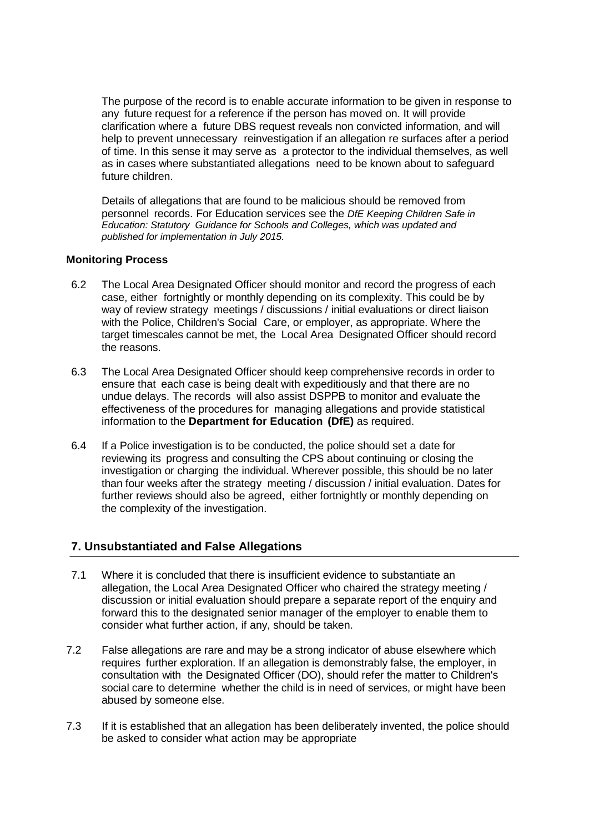The purpose of the record is to enable accurate information to be given in response to any future request for a reference if the person has moved on. It will provide clarification where a future DBS request reveals non convicted information, and will help to prevent unnecessary reinvestigation if an allegation re surfaces after a period of time. In this sense it may serve as a protector to the individual themselves, as well as in cases where substantiated allegations need to be known about to safeguard future children.

Details of allegations that are found to be malicious should be removed from personnel records. For Education services see the *DfE Keeping Children Safe in Education: Statutory Guidance for Schools and Colleges, which was updated and published for implementation in July 2015.* 

#### **Monitoring Process**

- 6.2 The Local Area Designated Officer should monitor and record the progress of each case, either fortnightly or monthly depending on its complexity. This could be by way of review strategy meetings / discussions / initial evaluations or direct liaison with the Police, Children's Social Care, or employer, as appropriate. Where the target timescales cannot be met, the Local Area Designated Officer should record the reasons.
- 6.3 The Local Area Designated Officer should keep comprehensive records in order to ensure that each case is being dealt with expeditiously and that there are no undue delays. The records will also assist DSPPB to monitor and evaluate the effectiveness of the procedures for managing allegations and provide statistical information to the **Department for Education (DfE)** as required.
- 6.4 If a Police investigation is to be conducted, the police should set a date for reviewing its progress and consulting the CPS about continuing or closing the investigation or charging the individual. Wherever possible, this should be no later than four weeks after the strategy meeting / discussion / initial evaluation. Dates for further reviews should also be agreed, either fortnightly or monthly depending on the complexity of the investigation.

## **7. Unsubstantiated and False Allegations**

- 7.1 Where it is concluded that there is insufficient evidence to substantiate an allegation, the Local Area Designated Officer who chaired the strategy meeting / discussion or initial evaluation should prepare a separate report of the enquiry and forward this to the designated senior manager of the employer to enable them to consider what further action, if any, should be taken.
- 7.2 False allegations are rare and may be a strong indicator of abuse elsewhere which requires further exploration. If an allegation is demonstrably false, the employer, in consultation with the Designated Officer (DO), should refer the matter to Children's social care to determine whether the child is in need of services, or might have been abused by someone else.
- 7.3 If it is established that an allegation has been deliberately invented, the police should be asked to consider what action may be appropriate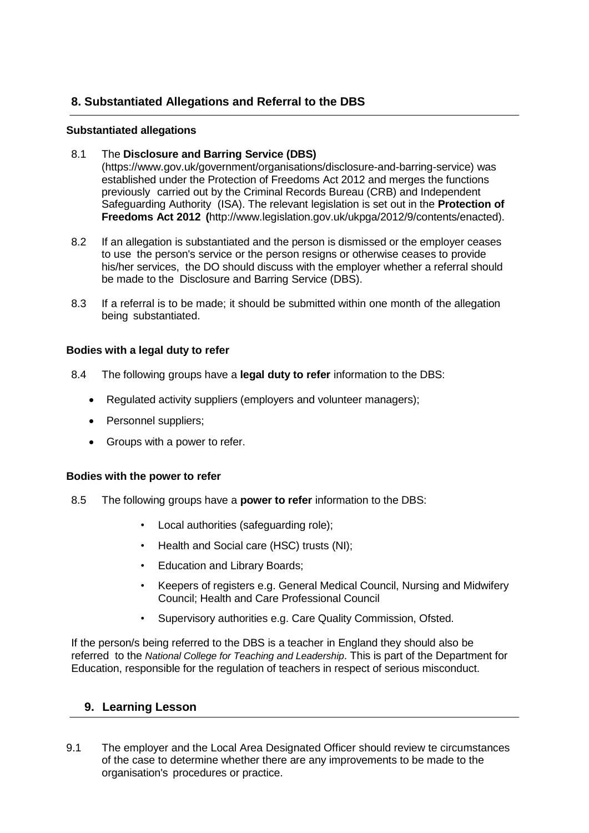# **8. Substantiated Allegations and Referral to the DBS**

## **Substantiated allegations**

### 8.1 The **Disclosure and Barring Service (DBS)**

(https[://www.gov.uk/government/organisations/disclosure-and-barring-service\)](http://www.gov.uk/government/organisations/disclosure-and-barring-service)) was established under the Protection of Freedoms Act 2012 and merges the functions previously carried out by the Criminal Records Bureau (CRB) and Independent Safeguarding Authority (ISA). The relevant legislation is set out in the **Protection of Freedoms Act 2012 (**[http://www.legislation.gov.uk/ukpga/2012/9/contents/enacted\).](http://www.legislation.gov.uk/ukpga/2012/9/contents/enacted))

- 8.2 If an allegation is substantiated and the person is dismissed or the employer ceases to use the person's service or the person resigns or otherwise ceases to provide his/her services, the DO should discuss with the employer whether a referral should be made to the Disclosure and Barring Service (DBS).
- 8.3 If a referral is to be made; it should be submitted within one month of the allegation being substantiated.

#### **Bodies with a legal duty to refer**

- 8.4 The following groups have a **legal duty to refer** information to the DBS:
	- Regulated activity suppliers (employers and volunteer managers);
	- Personnel suppliers;
	- Groups with a power to refer.

#### **Bodies with the power to refer**

- 8.5 The following groups have a **power to refer** information to the DBS:
	- Local authorities (safeguarding role);
	- Health and Social care (HSC) trusts (NI);
	- Education and Library Boards;
	- Keepers of registers e.g. General Medical Council, Nursing and Midwifery Council; Health and Care Professional Council
	- Supervisory authorities e.g. Care Quality Commission, Ofsted.

If the person/s being referred to the DBS is a teacher in England they should also be referred to the *National College for Teaching and Leadership*. This is part of the Department for Education, responsible for the regulation of teachers in respect of serious misconduct.

## **9. Learning Lesson**

9.1 The employer and the Local Area Designated Officer should review te circumstances of the case to determine whether there are any improvements to be made to the organisation's procedures or practice.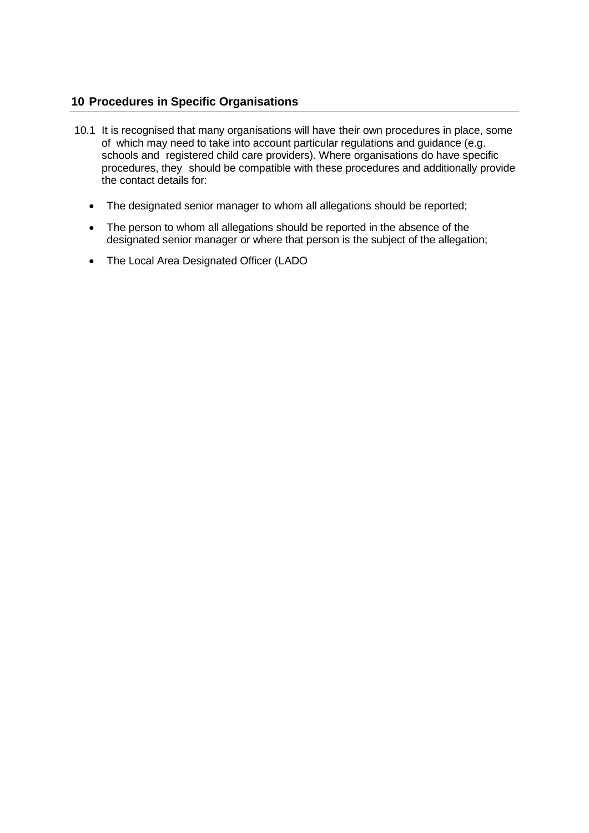## **10 Procedures in Specific Organisations**

- 10.1 It is recognised that many organisations will have their own procedures in place, some of which may need to take into account particular regulations and guidance (e.g. schools and registered child care providers). Where organisations do have specific procedures, they should be compatible with these procedures and additionally provide the contact details for:
	- The designated senior manager to whom all allegations should be reported;
	- The person to whom all allegations should be reported in the absence of the designated senior manager or where that person is the subject of the allegation;
	- The Local Area Designated Officer (LADO